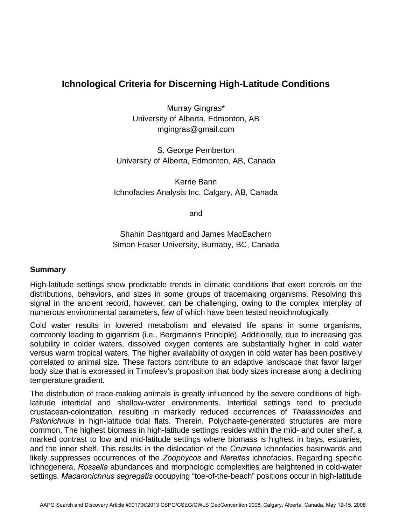## **Ichnological Criteria for Discerning High-Latitude Conditions**

Murray Gingras\* University of Alberta, Edmonton, AB mgingras@gmail.com

S. George Pemberton University of Alberta, Edmonton, AB, Canada

Kerrie Bann Ichnofacies Analysis Inc, Calgary, AB, Canada

and

Shahin Dashtgard and James MacEachern Simon Fraser University, Burnaby, BC, Canada

## **Summary**

High-latitude settings show predictable trends in climatic conditions that exert controls on the distributions, behaviors, and sizes in some groups of tracemaking organisms. Resolving this signal in the ancient record, however, can be challenging, owing to the complex interplay of numerous environmental parameters, few of which have been tested neoichnologically.

Cold water results in lowered metabolism and elevated life spans in some organisms, commonly leading to gigantism (i.e., Bergmann's Principle). Additionally, due to increasing gas solubility in colder waters, dissolved oxygen contents are substantially higher in cold water versus warm tropical waters. The higher availability of oxygen in cold water has been positively correlated to animal size. These factors contribute to an adaptive landscape that favor larger body size that is expressed in Timofeev's proposition that body sizes increase along a declining temperature gradient.

The distribution of trace-making animals is greatly influenced by the severe conditions of highlatitude intertidal and shallow-water environments. Intertidal settings tend to preclude crustacean-colonization, resulting in markedly reduced occurrences of *Thalassinoides* and *Psilonichnus* in high-latitude tidal flats. Therein, Polychaete-generated structures are more common. The highest biomass in high-latitude settings resides within the mid- and outer shelf, a marked contrast to low and mid-latitude settings where biomass is highest in bays, estuaries, and the inner shelf. This results in the dislocation of the *Cruziana* Ichnofacies basinwards and likely suppresses occurrences of the *Zoophycos* and *Nereites* ichnofacies. Regarding specific ichnogenera, *Rosselia* abundances and morphologic complexities are heightened in cold-water settings. *Macaronichnus segregatis* occupying "toe-of-the-beach" positions occur in high-latitude